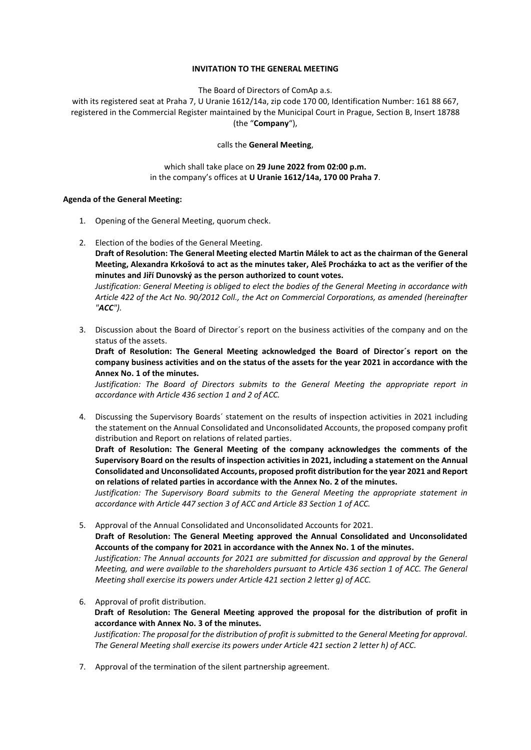### **INVITATION TO THE GENERAL MEETING**

The Board of Directors of ComAp a.s.

with its registered seat at Praha 7, U Uranie 1612/14a, zip code 170 00, Identification Number: 161 88 667, registered in the Commercial Register maintained by the Municipal Court in Prague, Section B, Insert 18788 (the "**Company**"),

### calls the **General Meeting**,

which shall take place on **29 June 2022 from 02:00 p.m.** in the company's offices at **U Uranie 1612/14a, 170 00 Praha 7**.

### **Agenda of the General Meeting:**

- 1. Opening of the General Meeting, quorum check.
- 2. Election of the bodies of the General Meeting.

**Draft of Resolution: The General Meeting elected Martin Málek to act as the chairman of the General Meeting, Alexandra Krkošová to act as the minutes taker, Aleš Procházka to act as the verifier of the minutes and Jiří Dunovský as the person authorized to count votes.**

*Justification: General Meeting is obliged to elect the bodies of the General Meeting in accordance with Article 422 of the Act No. 90/2012 Coll., the Act on Commercial Corporations, as amended (hereinafter "ACC").*

3. Discussion about the Board of Director´s report on the business activities of the company and on the status of the assets.

**Draft of Resolution: The General Meeting acknowledged the Board of Director´s report on the company business activities and on the status of the assets for the year 2021 in accordance with the Annex No. 1 of the minutes.**

*Justification: The Board of Directors submits to the General Meeting the appropriate report in accordance with Article 436 section 1 and 2 of ACC.*

4. Discussing the Supervisory Boards´ statement on the results of inspection activities in 2021 including the statement on the Annual Consolidated and Unconsolidated Accounts, the proposed company profit distribution and Report on relations of related parties.

**Draft of Resolution: The General Meeting of the company acknowledges the comments of the Supervisory Board on the results of inspection activities in 2021, including a statement on the Annual Consolidated and Unconsolidated Accounts, proposed profit distribution for the year 2021 and Report on relations of related parties in accordance with the Annex No. 2 of the minutes.**

*Justification: The Supervisory Board submits to the General Meeting the appropriate statement in accordance with Article 447 section 3 of ACC and Article 83 Section 1 of ACC.*

- 5. Approval of the Annual Consolidated and Unconsolidated Accounts for 2021. **Draft of Resolution: The General Meeting approved the Annual Consolidated and Unconsolidated Accounts of the company for 2021 in accordance with the Annex No. 1 of the minutes.**  *Justification: The Annual accounts for 2021 are submitted for discussion and approval by the General Meeting, and were available to the shareholders pursuant to Article 436 section 1 of ACC. The General Meeting shall exercise its powers under Article 421 section 2 letter g) of ACC.*
- 6. Approval of profit distribution.

# **Draft of Resolution: The General Meeting approved the proposal for the distribution of profit in accordance with Annex No. 3 of the minutes.**

*Justification: The proposal for the distribution of profit is submitted to the General Meeting for approval. The General Meeting shall exercise its powers under Article 421 section 2 letter h) of ACC.* 

7. Approval of the termination of the silent partnership agreement.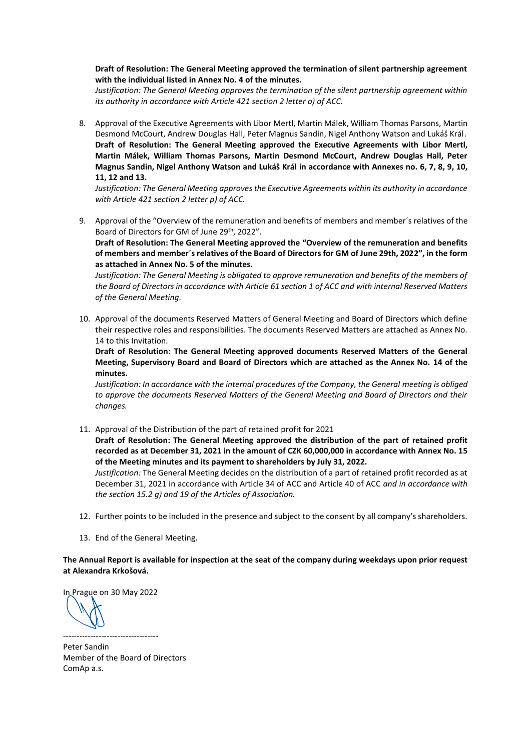## **Draft of Resolution: The General Meeting approved the termination of silent partnership agreement with the individual listed in Annex No. 4 of the minutes.**

*Justification: The General Meeting approves the termination of the silent partnership agreement within its authority in accordance with Article 421 section 2 letter o) of ACC.*

8. Approval of the Executive Agreements with Libor Mertl, Martin Málek, William Thomas Parsons, Martin Desmond McCourt, Andrew Douglas Hall, Peter Magnus Sandin, Nigel Anthony Watson and Lukáš Král. **Draft of Resolution: The General Meeting approved the Executive Agreements with Libor Mertl, Martin Málek, William Thomas Parsons, Martin Desmond McCourt, Andrew Douglas Hall, Peter Magnus Sandin, Nigel Anthony Watson and Lukáš Král in accordance with Annexes no. 6, 7, 8, 9, 10, 11, 12 and 13.**

*Justification: The General Meeting approves the Executive Agreements within its authority in accordance with Article 421 section 2 letter p) of ACC.*

9. Approval of the "Overview of the remuneration and benefits of members and member´s relatives of the Board of Directors for GM of June 29<sup>th</sup>, 2022".

**Draft of Resolution: The General Meeting approved the "Overview of the remuneration and benefits of members and member´s relatives of the Board of Directors for GM of June 29th, 2022", in the form as attached in Annex No. 5 of the minutes.** 

*Justification: The General Meeting is obligated to approve remuneration and benefits of the members of the Board of Directors in accordance with Article 61 section 1 of ACC and with internal Reserved Matters of the General Meeting.*

10. Approval of the documents Reserved Matters of General Meeting and Board of Directors which define their respective roles and responsibilities. The documents Reserved Matters are attached as Annex No. 14 to this Invitation.

**Draft of Resolution: The General Meeting approved documents Reserved Matters of the General Meeting, Supervisory Board and Board of Directors which are attached as the Annex No. 14 of the minutes.**

*Justification: In accordance with the internal procedures of the Company, the General meeting is obliged to approve the documents Reserved Matters of the General Meeting and Board of Directors and their changes.*

11. Approval of the Distribution of the part of retained profit for 2021

**Draft of Resolution: The General Meeting approved the distribution of the part of retained profit recorded as at December 31, 2021 in the amount of CZK 60,000,000 in accordance with Annex No. 15 of the Meeting minutes and its payment to shareholders by July 31, 2022.**

*Justification:* The General Meeting decides on the distribution of a part of retained profit recorded as at December 31, 2021 in accordance with Article 34 of ACC and Article 40 of ACC *and in accordance with the section 15.2 g) and 19 of the Articles of Association.* 

- 12. Further points to be included in the presence and subject to the consent by all company's shareholders.
- 13. End of the General Meeting.

**The Annual Report is available for inspection at the seat of the company during weekdays upon prior request at Alexandra Krkošová.**

In Prague on 30 May 2022

-----------------------------------

Peter Sandin Member of the Board of Directors ComAp a.s.